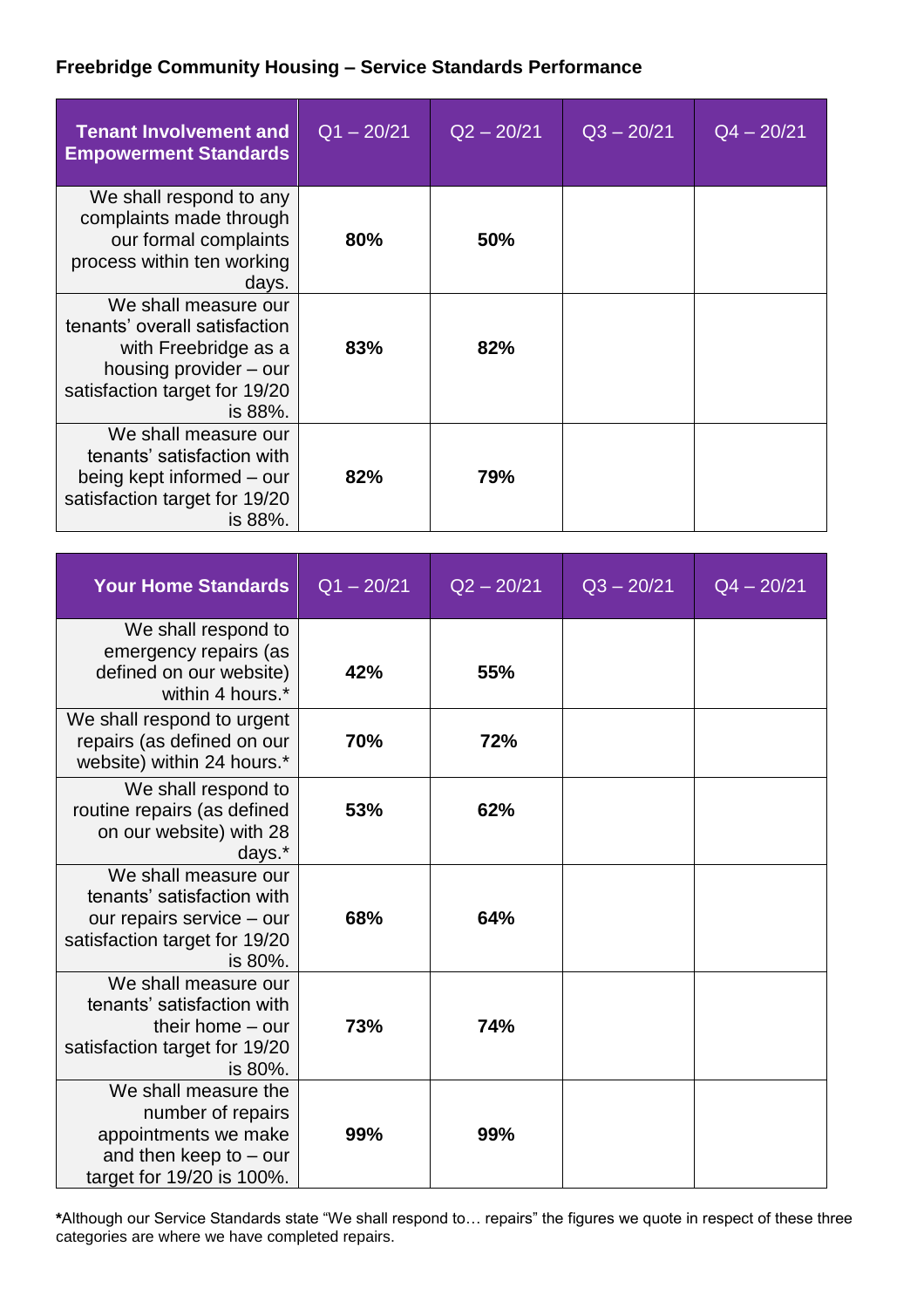## **Freebridge Community Housing – Service Standards Performance**

| <b>Tenant Involvement and</b><br><b>Empowerment Standards</b>                                                                                       | $Q1 - 20/21$ | $Q2 - 20/21$ | $Q3 - 20/21$ | $Q4 - 20/21$ |
|-----------------------------------------------------------------------------------------------------------------------------------------------------|--------------|--------------|--------------|--------------|
| We shall respond to any<br>complaints made through<br>our formal complaints<br>process within ten working<br>days.                                  | 80%          | 50%          |              |              |
| We shall measure our<br>tenants' overall satisfaction<br>with Freebridge as a<br>housing provider – our<br>satisfaction target for 19/20<br>is 88%. | 83%          | 82%          |              |              |
| We shall measure our<br>tenants' satisfaction with<br>being kept informed – our<br>satisfaction target for 19/20<br>is 88%.                         | 82%          | 79%          |              |              |

| <b>Your Home Standards</b>                                                                                                  | $Q1 - 20/21$ | $Q2 - 20/21$ | $Q3 - 20/21$ | $Q4 - 20/21$ |
|-----------------------------------------------------------------------------------------------------------------------------|--------------|--------------|--------------|--------------|
| We shall respond to<br>emergency repairs (as<br>defined on our website)<br>within 4 hours.*                                 | 42%          | 55%          |              |              |
| We shall respond to urgent<br>repairs (as defined on our<br>website) within 24 hours.*                                      | 70%          | 72%          |              |              |
| We shall respond to<br>routine repairs (as defined<br>on our website) with 28<br>days.*                                     | 53%          | 62%          |              |              |
| We shall measure our<br>tenants' satisfaction with<br>our repairs service - our<br>satisfaction target for 19/20<br>is 80%. | 68%          | 64%          |              |              |
| We shall measure our<br>tenants' satisfaction with<br>their home $-$ our<br>satisfaction target for 19/20<br>is 80%.        | 73%          | 74%          |              |              |
| We shall measure the<br>number of repairs<br>appointments we make<br>and then keep to $-$ our<br>target for 19/20 is 100%.  | 99%          | 99%          |              |              |

**\***Although our Service Standards state "We shall respond to… repairs" the figures we quote in respect of these three categories are where we have completed repairs.